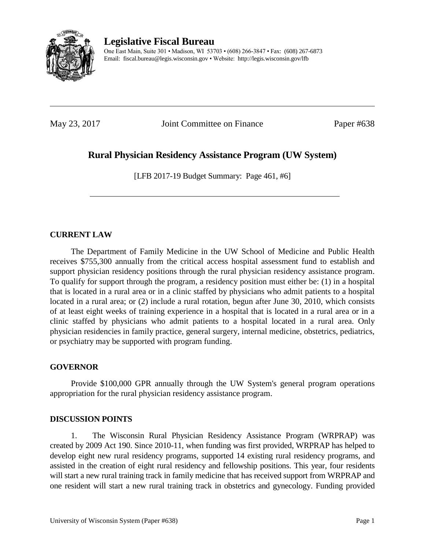

**Legislative Fiscal Bureau**

One East Main, Suite 301 • Madison, WI 53703 • (608) 266-3847 • Fax: (608) 267-6873 Email: fiscal.bureau@legis.wisconsin.gov • Website:<http://legis.wisconsin.gov/lfb>

May 23, 2017 **Joint Committee on Finance** Paper #638

# **Rural Physician Residency Assistance Program (UW System)**

[LFB 2017-19 Budget Summary: Page 461, #6]

## **CURRENT LAW**

The Department of Family Medicine in the UW School of Medicine and Public Health receives \$755,300 annually from the critical access hospital assessment fund to establish and support physician residency positions through the rural physician residency assistance program. To qualify for support through the program, a residency position must either be: (1) in a hospital that is located in a rural area or in a clinic staffed by physicians who admit patients to a hospital located in a rural area; or (2) include a rural rotation, begun after June 30, 2010, which consists of at least eight weeks of training experience in a hospital that is located in a rural area or in a clinic staffed by physicians who admit patients to a hospital located in a rural area. Only physician residencies in family practice, general surgery, internal medicine, obstetrics, pediatrics, or psychiatry may be supported with program funding.

## **GOVERNOR**

Provide \$100,000 GPR annually through the UW System's general program operations appropriation for the rural physician residency assistance program.

## **DISCUSSION POINTS**

1. The Wisconsin Rural Physician Residency Assistance Program (WRPRAP) was created by 2009 Act 190. Since 2010-11, when funding was first provided, WRPRAP has helped to develop eight new rural residency programs, supported 14 existing rural residency programs, and assisted in the creation of eight rural residency and fellowship positions. This year, four residents will start a new rural training track in family medicine that has received support from WRPRAP and one resident will start a new rural training track in obstetrics and gynecology. Funding provided